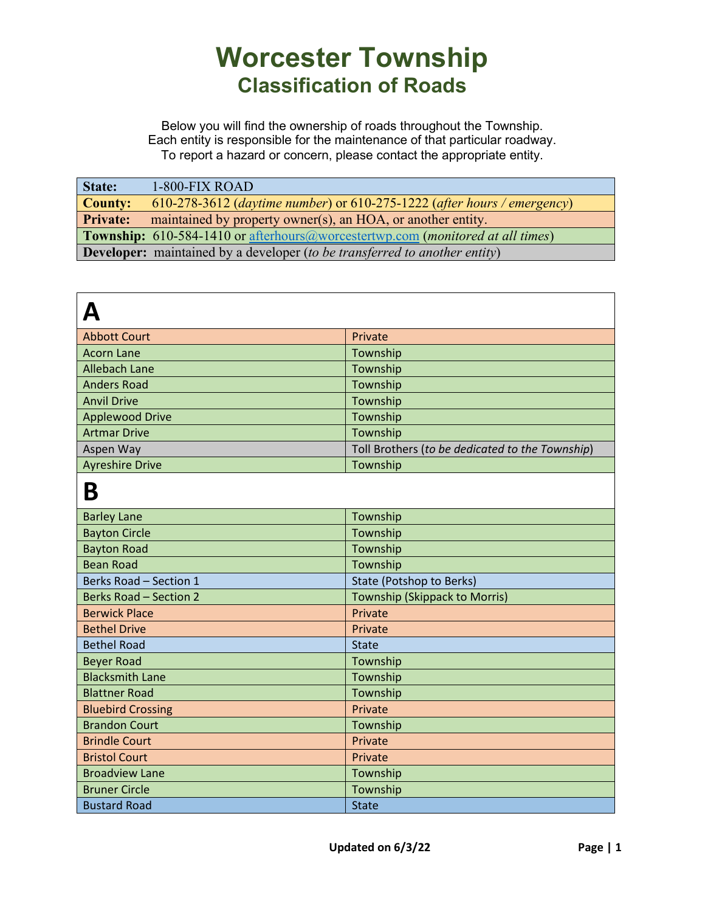| State:          | 1-800-FIX ROAD                                                                                 |
|-----------------|------------------------------------------------------------------------------------------------|
| <b>County:</b>  | 610-278-3612 (daytime number) or 610-275-1222 (after hours / emergency)                        |
| <b>Private:</b> | maintained by property owner(s), an HOA, or another entity.                                    |
|                 | <b>Township:</b> 610-584-1410 or afterhours@worcestertwp.com ( <i>monitored at all times</i> ) |
|                 | <b>Developer:</b> maintained by a developer (to be transferred to another entity)              |

| <b>Abbott Court</b>           | Private                                         |
|-------------------------------|-------------------------------------------------|
| <b>Acorn Lane</b>             | Township                                        |
| <b>Allebach Lane</b>          | Township                                        |
| <b>Anders Road</b>            | Township                                        |
| <b>Anvil Drive</b>            | Township                                        |
| <b>Applewood Drive</b>        | Township                                        |
| <b>Artmar Drive</b>           | Township                                        |
| Aspen Way                     | Toll Brothers (to be dedicated to the Township) |
| <b>Ayreshire Drive</b>        | Township                                        |
| Β                             |                                                 |
| <b>Barley Lane</b>            | Township                                        |
| <b>Bayton Circle</b>          | Township                                        |
| <b>Bayton Road</b>            | Township                                        |
| <b>Bean Road</b>              | Township                                        |
| Berks Road - Section 1        | <b>State (Potshop to Berks)</b>                 |
| <b>Berks Road - Section 2</b> | <b>Township (Skippack to Morris)</b>            |
| <b>Berwick Place</b>          | Private                                         |
| <b>Bethel Drive</b>           | Private                                         |
| <b>Bethel Road</b>            | <b>State</b>                                    |
| <b>Beyer Road</b>             | Township                                        |
| <b>Blacksmith Lane</b>        | Township                                        |
| <b>Blattner Road</b>          | Township                                        |
| <b>Bluebird Crossing</b>      | Private                                         |
| <b>Brandon Court</b>          | Township                                        |
| <b>Brindle Court</b>          | Private                                         |
| <b>Bristol Court</b>          | Private                                         |
| <b>Broadview Lane</b>         | Township                                        |
| <b>Bruner Circle</b>          | Township                                        |
| <b>Bustard Road</b>           | <b>State</b>                                    |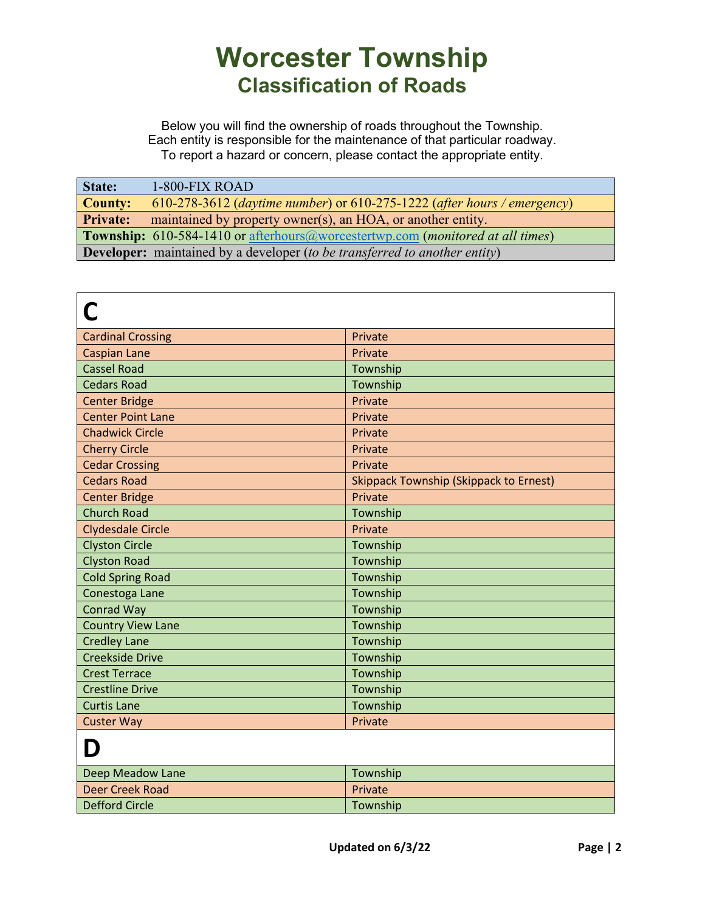| State:          | 1-800-FIX ROAD                                                                        |
|-----------------|---------------------------------------------------------------------------------------|
| <b>County:</b>  | 610-278-3612 (daytime number) or 610-275-1222 (after hours / emergency)               |
| <b>Private:</b> | maintained by property owner(s), an HOA, or another entity.                           |
|                 | <b>Township:</b> 610-584-1410 or afterhours@worcestertwp.com (monitored at all times) |
|                 | <b>Developer:</b> maintained by a developer (to be transferred to another entity)     |

| <b>Cardinal Crossing</b> | Private                                       |
|--------------------------|-----------------------------------------------|
| <b>Caspian Lane</b>      | Private                                       |
| <b>Cassel Road</b>       | Township                                      |
| <b>Cedars Road</b>       | Township                                      |
| <b>Center Bridge</b>     | Private                                       |
| <b>Center Point Lane</b> | Private                                       |
| <b>Chadwick Circle</b>   | Private                                       |
| <b>Cherry Circle</b>     | Private                                       |
| <b>Cedar Crossing</b>    | Private                                       |
| <b>Cedars Road</b>       | <b>Skippack Township (Skippack to Ernest)</b> |
| <b>Center Bridge</b>     | Private                                       |
| <b>Church Road</b>       | Township                                      |
| <b>Clydesdale Circle</b> | Private                                       |
| <b>Clyston Circle</b>    | Township                                      |
| <b>Clyston Road</b>      | Township                                      |
| <b>Cold Spring Road</b>  | Township                                      |
| Conestoga Lane           | Township                                      |
| <b>Conrad Way</b>        | Township                                      |
| <b>Country View Lane</b> | Township                                      |
| <b>Credley Lane</b>      | Township                                      |
| <b>Creekside Drive</b>   | Township                                      |
| <b>Crest Terrace</b>     | Township                                      |
| <b>Crestline Drive</b>   | Township                                      |
| <b>Curtis Lane</b>       | Township                                      |
| <b>Custer Way</b>        | Private                                       |
| D                        |                                               |
| Deep Meadow Lane         | Township                                      |
| <b>Deer Creek Road</b>   | Private                                       |
| <b>Defford Circle</b>    | Township                                      |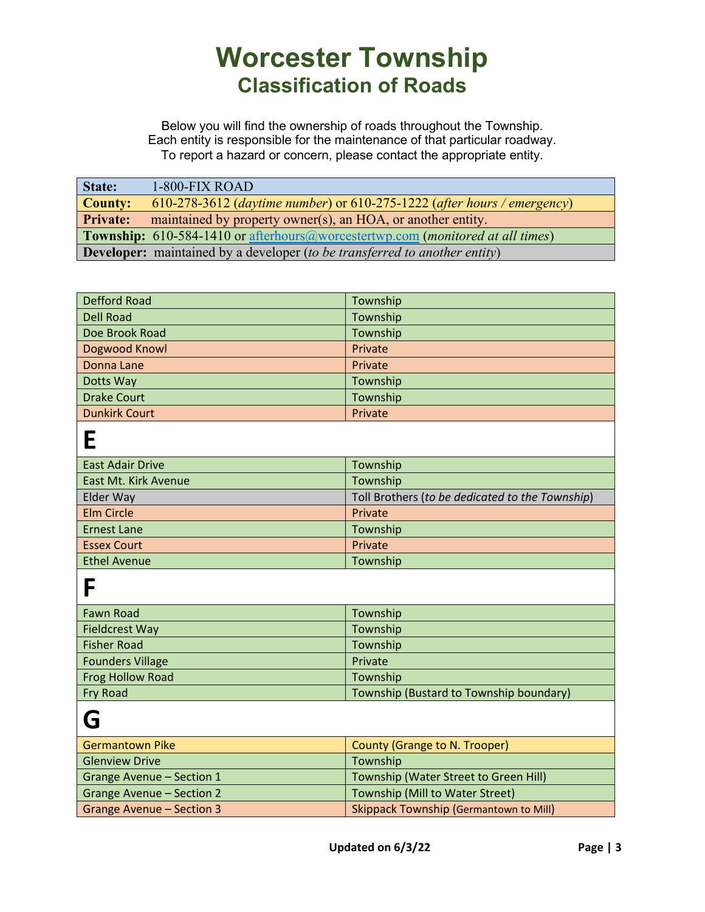Below you will find the ownership of roads throughout the Township. Each entity is responsible for the maintenance of that particular roadway. To report a hazard or concern, please contact the appropriate entity.

| State:          | <b>1-800-FIX ROAD</b>                                                                          |
|-----------------|------------------------------------------------------------------------------------------------|
| <b>County:</b>  | 610-278-3612 (daytime number) or 610-275-1222 (after hours / emergency)                        |
| <b>Private:</b> | maintained by property owner(s), an HOA, or another entity.                                    |
|                 | <b>Township:</b> 610-584-1410 or afterhours@worcestertwp.com ( <i>monitored at all times</i> ) |
|                 | <b>Developer:</b> maintained by a developer (to be transferred to another entity)              |

| Defford Road         | Township |
|----------------------|----------|
| Dell Road            | Township |
| Doe Brook Road       | Township |
| Dogwood Knowl        | Private  |
| Donna Lane           | Private  |
| Dotts Way            | Township |
| <b>Drake Court</b>   | Township |
| <b>Dunkirk Court</b> | Private  |
|                      |          |

| <b>East Adair Drive</b>     | Township                                        |
|-----------------------------|-------------------------------------------------|
| <b>East Mt. Kirk Avenue</b> | Township                                        |
| <b>Elder Way</b>            | Toll Brothers (to be dedicated to the Township) |
| <b>Elm Circle</b>           | Private                                         |
| <b>Ernest Lane</b>          | Township                                        |
| <b>Essex Court</b>          | Private                                         |
| <b>Ethel Avenue</b>         | Township                                        |

**F**

| Fawn Road               | Township                                |
|-------------------------|-----------------------------------------|
| <b>Fieldcrest Way</b>   | Township                                |
| <b>Fisher Road</b>      | Township                                |
| <b>Founders Village</b> | Private                                 |
| Frog Hollow Road        | Township                                |
| Fry Road                | Township (Bustard to Township boundary) |

**G**

| <b>Germantown Pike</b>           | County (Grange to N. Trooper)                 |
|----------------------------------|-----------------------------------------------|
| <b>Glenview Drive</b>            | Township                                      |
| Grange Avenue - Section 1        | Township (Water Street to Green Hill)         |
| <b>Grange Avenue - Section 2</b> | Township (Mill to Water Street)               |
| Grange Avenue - Section 3        | <b>Skippack Township (Germantown to Mill)</b> |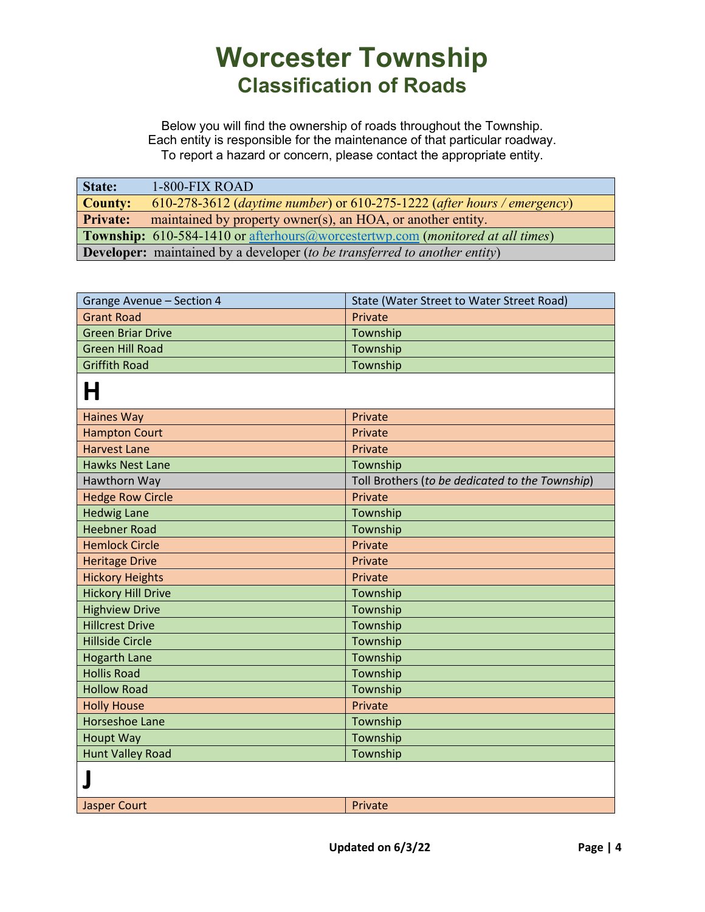| State:          | 1-800-FIX ROAD                                                                        |
|-----------------|---------------------------------------------------------------------------------------|
| <b>County:</b>  | 610-278-3612 (daytime number) or 610-275-1222 (after hours / emergency)               |
| <b>Private:</b> | maintained by property owner(s), an HOA, or another entity.                           |
|                 | <b>Township:</b> 610-584-1410 or afterhours@worcestertwp.com (monitored at all times) |
|                 | <b>Developer:</b> maintained by a developer (to be transferred to another entity)     |

| Grange Avenue - Section 4 | State (Water Street to Water Street Road)       |
|---------------------------|-------------------------------------------------|
| <b>Grant Road</b>         | Private                                         |
| <b>Green Briar Drive</b>  | Township                                        |
| <b>Green Hill Road</b>    | Township                                        |
| <b>Griffith Road</b>      | Township                                        |
| H                         |                                                 |
| <b>Haines Way</b>         | Private                                         |
| <b>Hampton Court</b>      | Private                                         |
| <b>Harvest Lane</b>       | Private                                         |
| <b>Hawks Nest Lane</b>    | Township                                        |
| Hawthorn Way              | Toll Brothers (to be dedicated to the Township) |
| <b>Hedge Row Circle</b>   | Private                                         |
| <b>Hedwig Lane</b>        | Township                                        |
| <b>Heebner Road</b>       | Township                                        |
| <b>Hemlock Circle</b>     | Private                                         |
| <b>Heritage Drive</b>     | Private                                         |
| <b>Hickory Heights</b>    | Private                                         |
| <b>Hickory Hill Drive</b> | Township                                        |
| <b>Highview Drive</b>     | Township                                        |
| <b>Hillcrest Drive</b>    | Township                                        |
| <b>Hillside Circle</b>    | Township                                        |
| <b>Hogarth Lane</b>       | Township                                        |
| <b>Hollis Road</b>        | Township                                        |
| <b>Hollow Road</b>        | Township                                        |
| <b>Holly House</b>        | Private                                         |
| <b>Horseshoe Lane</b>     | Township                                        |
| <b>Houpt Way</b>          | Township                                        |
| <b>Hunt Valley Road</b>   | Township                                        |
|                           |                                                 |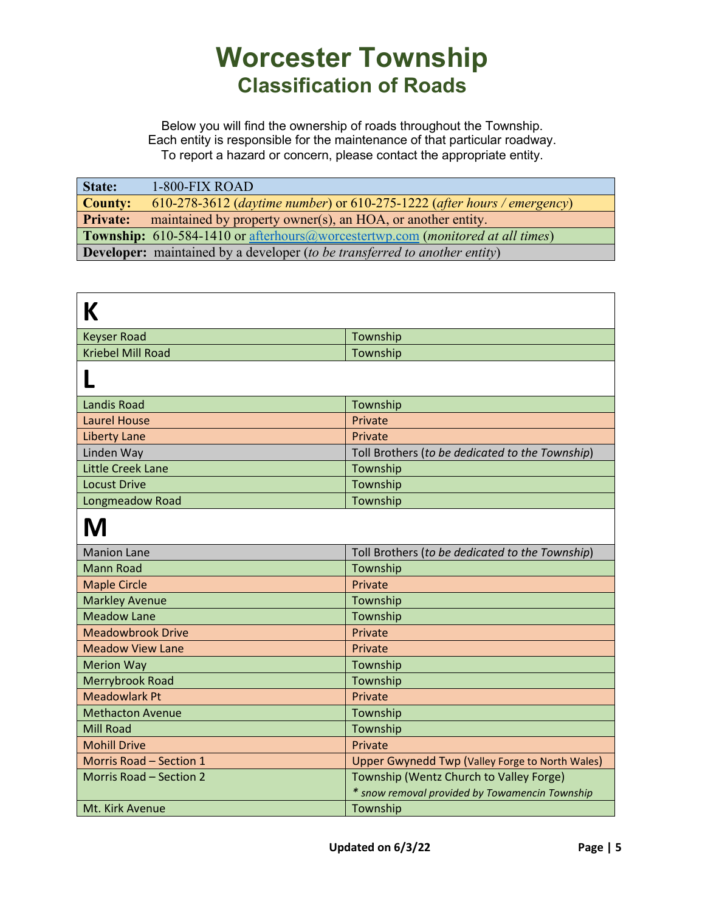| State:          | $1-800-FIX$ ROAD                                                                      |
|-----------------|---------------------------------------------------------------------------------------|
| <b>County:</b>  | 610-278-3612 (daytime number) or 610-275-1222 (after hours / emergency)               |
| <b>Private:</b> | maintained by property owner(s), an HOA, or another entity.                           |
|                 | <b>Township:</b> 610-584-1410 or afterhours@worcestertwp.com (monitored at all times) |
|                 | <b>Developer:</b> maintained by a developer (to be transferred to another entity)     |

| Κ                        |                                                                                           |
|--------------------------|-------------------------------------------------------------------------------------------|
| <b>Keyser Road</b>       | Township                                                                                  |
| <b>Kriebel Mill Road</b> | Township                                                                                  |
|                          |                                                                                           |
| <b>Landis Road</b>       | Township                                                                                  |
| <b>Laurel House</b>      | Private                                                                                   |
| <b>Liberty Lane</b>      | Private                                                                                   |
| Linden Way               | Toll Brothers (to be dedicated to the Township)                                           |
| <b>Little Creek Lane</b> | Township                                                                                  |
| <b>Locust Drive</b>      | Township                                                                                  |
| Longmeadow Road          | Township                                                                                  |
| M                        |                                                                                           |
| <b>Manion Lane</b>       | Toll Brothers (to be dedicated to the Township)                                           |
| <b>Mann Road</b>         | Township                                                                                  |
| <b>Maple Circle</b>      | Private                                                                                   |
| <b>Markley Avenue</b>    | Township                                                                                  |
| <b>Meadow Lane</b>       | Township                                                                                  |
| <b>Meadowbrook Drive</b> | Private                                                                                   |
| <b>Meadow View Lane</b>  | Private                                                                                   |
| <b>Merion Way</b>        | Township                                                                                  |
| Merrybrook Road          | Township                                                                                  |
| <b>Meadowlark Pt</b>     | Private                                                                                   |
| <b>Methacton Avenue</b>  | Township                                                                                  |
| <b>Mill Road</b>         | Township                                                                                  |
| <b>Mohill Drive</b>      | Private                                                                                   |
| Morris Road - Section 1  | Upper Gwynedd Twp (Valley Forge to North Wales)                                           |
| Morris Road - Section 2  | Township (Wentz Church to Valley Forge)<br>* snow removal provided by Towamencin Township |
| Mt. Kirk Avenue          | Township                                                                                  |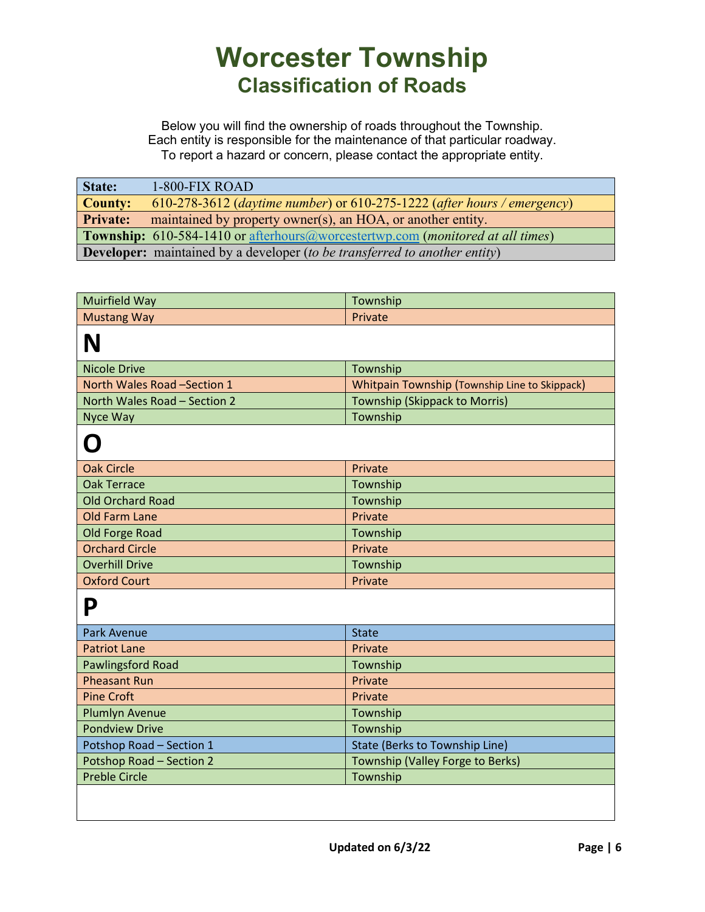| State:                                                                                         | 1-800-FIX ROAD                                                                    |
|------------------------------------------------------------------------------------------------|-----------------------------------------------------------------------------------|
| <b>County:</b>                                                                                 | 610-278-3612 (daytime number) or $610-275-1222$ (after hours / emergency)         |
| <b>Private:</b>                                                                                | maintained by property owner(s), an HOA, or another entity.                       |
| <b>Township:</b> 610-584-1410 or afterhours@worcestertwp.com ( <i>monitored at all times</i> ) |                                                                                   |
|                                                                                                | <b>Developer:</b> maintained by a developer (to be transferred to another entity) |

| Muirfield Way                | Township                                             |
|------------------------------|------------------------------------------------------|
| <b>Mustang Way</b>           | Private                                              |
| N                            |                                                      |
| <b>Nicole Drive</b>          | Township                                             |
| North Wales Road -Section 1  | <b>Whitpain Township (Township Line to Skippack)</b> |
| North Wales Road - Section 2 | <b>Township (Skippack to Morris)</b>                 |
| Nyce Way                     | Township                                             |
| O                            |                                                      |
| <b>Oak Circle</b>            | Private                                              |
| <b>Oak Terrace</b>           | Township                                             |
| <b>Old Orchard Road</b>      | Township                                             |
| <b>Old Farm Lane</b>         | Private                                              |
| <b>Old Forge Road</b>        | Township                                             |
| <b>Orchard Circle</b>        | Private                                              |
| <b>Overhill Drive</b>        | Township                                             |
| <b>Oxford Court</b>          | Private                                              |
| P                            |                                                      |
| <b>Park Avenue</b>           | <b>State</b>                                         |
| <b>Patriot Lane</b>          | Private                                              |
| <b>Pawlingsford Road</b>     | Township                                             |
| <b>Pheasant Run</b>          | Private                                              |
| <b>Pine Croft</b>            | Private                                              |
| <b>Plumlyn Avenue</b>        | Township                                             |
| <b>Pondview Drive</b>        | Township                                             |
| Potshop Road - Section 1     | <b>State (Berks to Township Line)</b>                |
| Potshop Road - Section 2     | Township (Valley Forge to Berks)                     |
| <b>Preble Circle</b>         | Township                                             |
|                              |                                                      |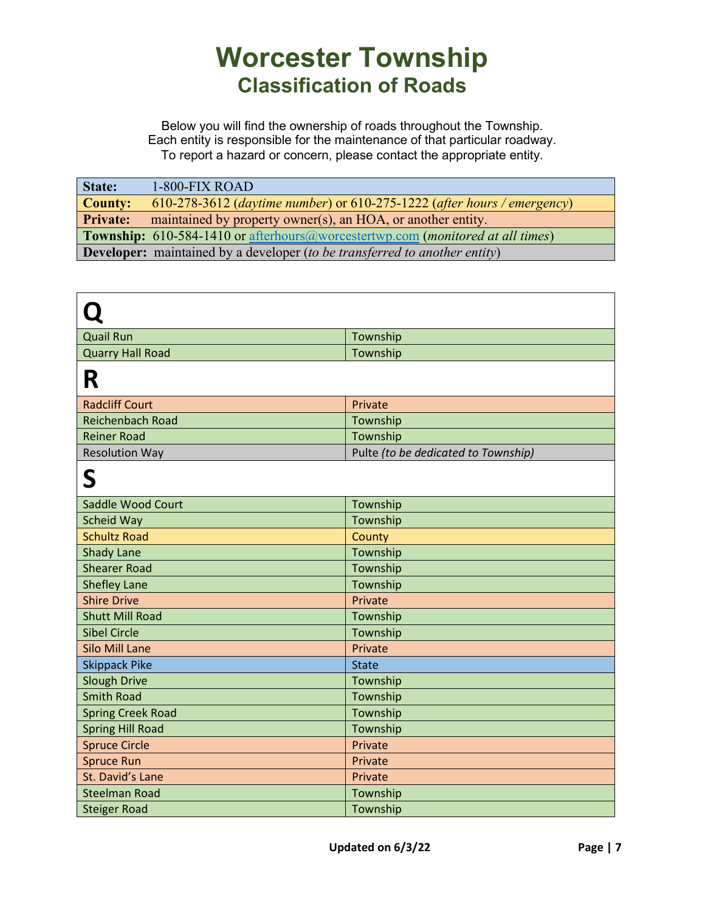| State:                                                                                         | $1-800-FIX$ ROAD                                                        |
|------------------------------------------------------------------------------------------------|-------------------------------------------------------------------------|
| <b>County:</b>                                                                                 | 610-278-3612 (daytime number) or 610-275-1222 (after hours / emergency) |
| <b>Private:</b>                                                                                | maintained by property owner(s), an HOA, or another entity.             |
| <b>Township:</b> 610-584-1410 or afterhours@worcestertwp.com ( <i>monitored at all times</i> ) |                                                                         |
| <b>Developer:</b> maintained by a developer (to be transferred to another entity)              |                                                                         |

| <b>Quail Run</b>         | Township                            |
|--------------------------|-------------------------------------|
| <b>Quarry Hall Road</b>  | Township                            |
| R                        |                                     |
| <b>Radcliff Court</b>    | Private                             |
| <b>Reichenbach Road</b>  | Township                            |
| <b>Reiner Road</b>       | Township                            |
| <b>Resolution Way</b>    | Pulte (to be dedicated to Township) |
| S                        |                                     |
| Saddle Wood Court        | Township                            |
| Scheid Way               | Township                            |
| <b>Schultz Road</b>      | County                              |
| <b>Shady Lane</b>        | Township                            |
| <b>Shearer Road</b>      | Township                            |
| <b>Shefley Lane</b>      | Township                            |
| <b>Shire Drive</b>       | Private                             |
| <b>Shutt Mill Road</b>   | Township                            |
| <b>Sibel Circle</b>      | Township                            |
| <b>Silo Mill Lane</b>    | Private                             |
| <b>Skippack Pike</b>     | <b>State</b>                        |
| <b>Slough Drive</b>      | Township                            |
| <b>Smith Road</b>        | Township                            |
| <b>Spring Creek Road</b> | Township                            |
| <b>Spring Hill Road</b>  | Township                            |
| <b>Spruce Circle</b>     | Private                             |
| <b>Spruce Run</b>        | Private                             |
| St. David's Lane         | Private                             |
| <b>Steelman Road</b>     | Township                            |
| <b>Steiger Road</b>      | Township                            |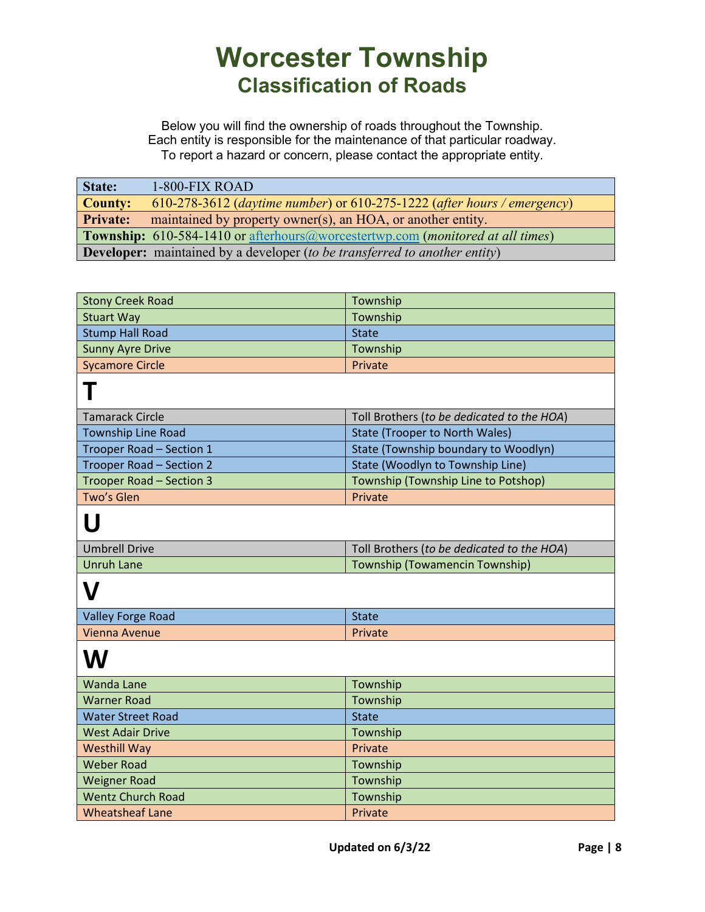| State:                                                                                         | 1-800-FIX ROAD                                                                    |
|------------------------------------------------------------------------------------------------|-----------------------------------------------------------------------------------|
| <b>County:</b>                                                                                 | 610-278-3612 (daytime number) or 610-275-1222 (after hours / emergency)           |
| <b>Private:</b>                                                                                | maintained by property owner(s), an HOA, or another entity.                       |
| <b>Township:</b> 610-584-1410 or afterhours@worcestertwp.com ( <i>monitored at all times</i> ) |                                                                                   |
|                                                                                                | <b>Developer:</b> maintained by a developer (to be transferred to another entity) |

| <b>Stony Creek Road</b>   | Township                                   |
|---------------------------|--------------------------------------------|
| <b>Stuart Way</b>         | Township                                   |
| <b>Stump Hall Road</b>    | <b>State</b>                               |
| <b>Sunny Ayre Drive</b>   | Township                                   |
| <b>Sycamore Circle</b>    | Private                                    |
|                           |                                            |
| <b>Tamarack Circle</b>    | Toll Brothers (to be dedicated to the HOA) |
| <b>Township Line Road</b> | <b>State (Trooper to North Wales)</b>      |
| Trooper Road - Section 1  | State (Township boundary to Woodlyn)       |
| Trooper Road - Section 2  | State (Woodlyn to Township Line)           |
| Trooper Road - Section 3  | Township (Township Line to Potshop)        |
| Two's Glen                | Private                                    |
| U                         |                                            |
| <b>Umbrell Drive</b>      | Toll Brothers (to be dedicated to the HOA) |
| <b>Unruh Lane</b>         | Township (Towamencin Township)             |
|                           |                                            |
| <b>Valley Forge Road</b>  | <b>State</b>                               |
| <b>Vienna Avenue</b>      | Private                                    |
| W                         |                                            |
| <b>Wanda Lane</b>         | Township                                   |
| <b>Warner Road</b>        | Township                                   |
| <b>Water Street Road</b>  | <b>State</b>                               |
| <b>West Adair Drive</b>   | Township                                   |
| <b>Westhill Way</b>       | Private                                    |
| <b>Weber Road</b>         | Township                                   |
| <b>Weigner Road</b>       | Township                                   |
| <b>Wentz Church Road</b>  | Township                                   |
| <b>Wheatsheaf Lane</b>    | Private                                    |
|                           |                                            |